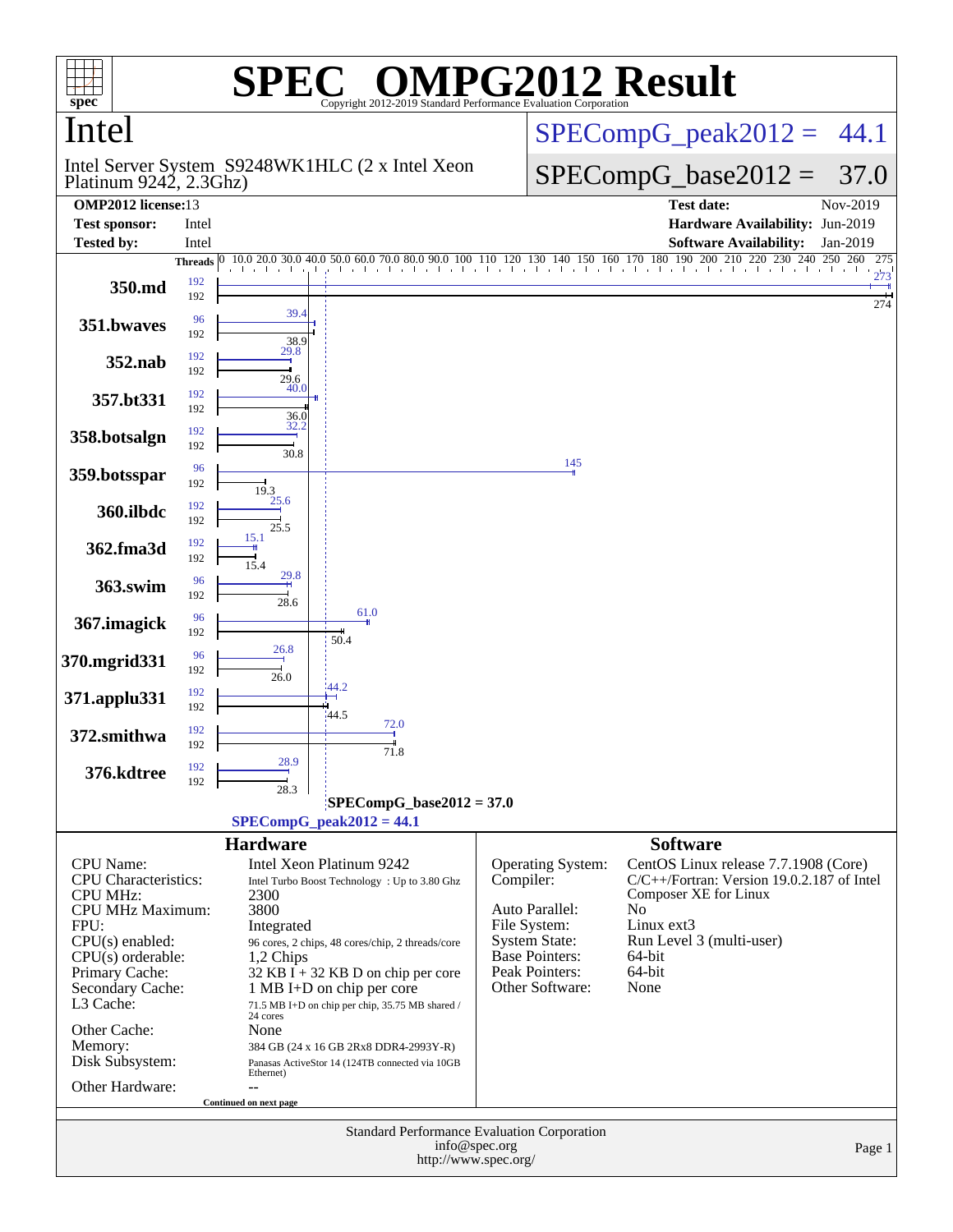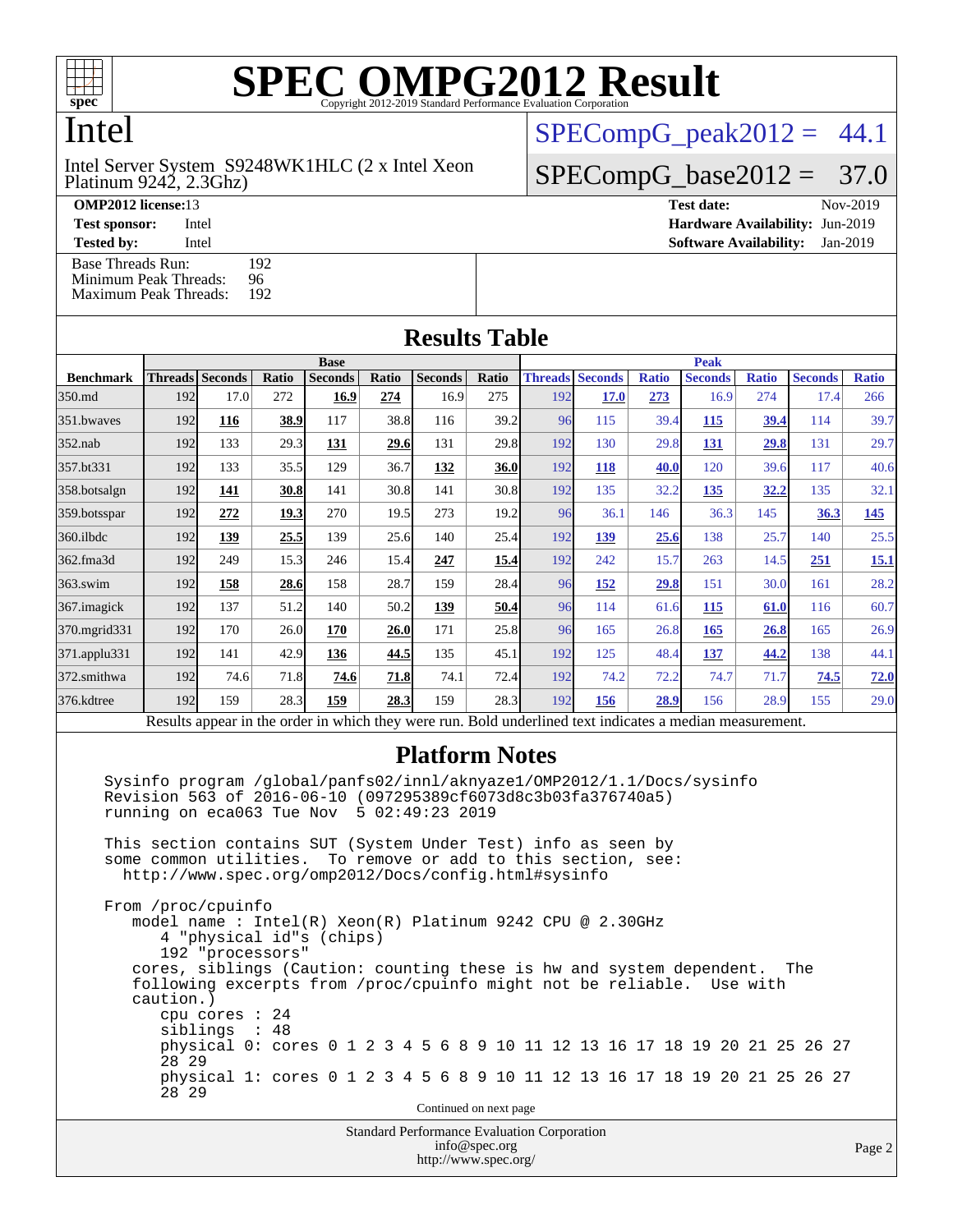

Intel

Platinum 9242, 2.3Ghz) Intel Server System S9248WK1HLC (2 x Intel Xeon  $SPECompG<sub>peak2012</sub> = 44.1$ 

 $SPECompG_base2012 = 37.0$  $SPECompG_base2012 = 37.0$ 

[Base Threads Run:](http://www.spec.org/auto/omp2012/Docs/result-fields.html#BaseThreadsRun) 192<br>Minimum Peak Threads: 96 [Minimum Peak Threads:](http://www.spec.org/auto/omp2012/Docs/result-fields.html#MinimumPeakThreads)

**[OMP2012 license:](http://www.spec.org/auto/omp2012/Docs/result-fields.html#OMP2012license)**13 **[Test date:](http://www.spec.org/auto/omp2012/Docs/result-fields.html#Testdate)** Nov-2019 **[Test sponsor:](http://www.spec.org/auto/omp2012/Docs/result-fields.html#Testsponsor)** Intel **[Hardware Availability:](http://www.spec.org/auto/omp2012/Docs/result-fields.html#HardwareAvailability)** Jun-2019 **[Tested by:](http://www.spec.org/auto/omp2012/Docs/result-fields.html#Testedby)** Intel **[Software Availability:](http://www.spec.org/auto/omp2012/Docs/result-fields.html#SoftwareAvailability)** Jan-2019

| <b>Maximum Peak Threads:</b><br>192 |      |                                                                                                     |                |                                              |       |                                                                |             |                                                                              |                                                                |              |                        |              |                        |  |
|-------------------------------------|------|-----------------------------------------------------------------------------------------------------|----------------|----------------------------------------------|-------|----------------------------------------------------------------|-------------|------------------------------------------------------------------------------|----------------------------------------------------------------|--------------|------------------------|--------------|------------------------|--|
| <b>Results Table</b>                |      |                                                                                                     |                |                                              |       |                                                                |             |                                                                              |                                                                |              |                        |              |                        |  |
| <b>Base</b>                         |      |                                                                                                     |                |                                              |       |                                                                | <b>Peak</b> |                                                                              |                                                                |              |                        |              |                        |  |
|                                     |      |                                                                                                     | <b>Seconds</b> |                                              |       |                                                                |             |                                                                              |                                                                |              |                        |              | <b>Ratio</b>           |  |
| 192                                 | 17.0 | 272                                                                                                 | 16.9           | 274                                          | 16.9  | 275                                                            | 192         | <b>17.0</b>                                                                  | <b>273</b>                                                     | 16.9         | 274                    | 17.4         | 266                    |  |
| 192                                 | 116  | 38.9                                                                                                | 117            | 38.8                                         | 116   |                                                                |             | 115                                                                          | 39.4                                                           | 115          | 39.4                   | 114          | 39.7                   |  |
|                                     | 133  | 29.3                                                                                                | <u>131</u>     | 29.6                                         | 131   |                                                                | 192         | 130                                                                          | 29.8                                                           | 131          | 29.8                   | 131          | 29.7                   |  |
| 192                                 | 133  |                                                                                                     | 129            | 36.7                                         | 132   |                                                                | 192         | 118                                                                          | 40.0                                                           | 120          | 39.6                   | 117          | 40.6                   |  |
|                                     | 141  |                                                                                                     | 141            |                                              | 141   |                                                                | 192         | 135                                                                          | 32.2                                                           | 135          | 32.2                   | 135          | 32.1                   |  |
|                                     | 272  |                                                                                                     | 270            |                                              | 273   |                                                                |             | 36.1                                                                         | 146                                                            | 36.3         | 145                    | 36.3         | 145                    |  |
|                                     | 139  | 25.5                                                                                                | 139            |                                              | 140   | 25.4                                                           | 192         | 139                                                                          | 25.6                                                           | 138          | 25.7                   | 140          | 25.5                   |  |
|                                     | 249  | 15.3                                                                                                | 246            | 15.4                                         | 247   | 15.4                                                           | 192         | 242                                                                          | 15.7                                                           | 263          | 14.5                   | 251          | 15.1                   |  |
|                                     | 158  | 28.6                                                                                                | 158            | 28.7                                         | 159   |                                                                |             | <u>152</u>                                                                   | 29.8                                                           | 151          | 30.0                   | 161          | 28.2                   |  |
|                                     | 137  | 51.2                                                                                                | 140            | 50.2                                         | 139   | 50.4                                                           |             | 114                                                                          | 61.6                                                           | 115          | 61.0                   | 116          | 60.7                   |  |
|                                     | 170  | 26.0                                                                                                | 170            |                                              | 171   |                                                                |             | 165                                                                          | 26.8                                                           | 165          | 26.8                   | 165          | 26.9                   |  |
|                                     | 141  |                                                                                                     | 136            | 44.5                                         | 135   |                                                                | 192         | 125                                                                          | 48.4                                                           | 137          | 44.2                   | 138          | 44.1                   |  |
|                                     | 74.6 |                                                                                                     | 74.6           |                                              | 74.1  |                                                                | 192         | 74.2                                                                         | 72.2                                                           | 74.7         | 71.7                   | 74.5         | 72.0                   |  |
|                                     | 159  |                                                                                                     | 159            |                                              | 159   |                                                                | 192         | 156                                                                          |                                                                | 156          |                        | 155          | 29.0                   |  |
|                                     |      | <b>Threads Seconds</b><br>192<br>192<br>192<br>192<br>192<br>192<br>192<br>192<br>192<br>192<br>192 | Ratio          | 35.5<br>30.8<br>19.3<br>42.9<br>71.8<br>28.3 | Ratio | <b>Seconds</b><br>30.8<br>19.5<br>25.6<br>26.0<br>71.8<br>28.3 | Ratio       | 39.2<br>29.8<br>36.0<br>30.8<br>19.2<br>28.4<br>25.8<br>45.1<br>72.4<br>28.3 | <b>Threads</b><br><b>Seconds</b><br>96<br>96<br>96<br>96<br>96 | <b>Ratio</b> | <b>Seconds</b><br>28.9 | <b>Ratio</b> | <b>Seconds</b><br>28.9 |  |

Results appear in the [order in which they were run.](http://www.spec.org/auto/omp2012/Docs/result-fields.html#RunOrder) Bold underlined text [indicates a median measurement.](http://www.spec.org/auto/omp2012/Docs/result-fields.html#Median)

#### **[Platform Notes](http://www.spec.org/auto/omp2012/Docs/result-fields.html#PlatformNotes)**

 Sysinfo program /global/panfs02/innl/aknyaze1/OMP2012/1.1/Docs/sysinfo Revision 563 of 2016-06-10 (097295389cf6073d8c3b03fa376740a5) running on eca063 Tue Nov 5 02:49:23 2019

 This section contains SUT (System Under Test) info as seen by some common utilities. To remove or add to this section, see: <http://www.spec.org/omp2012/Docs/config.html#sysinfo>

 From /proc/cpuinfo model name : Intel(R) Xeon(R) Platinum 9242 CPU @ 2.30GHz 4 "physical id"s (chips) 192 "processors" cores, siblings (Caution: counting these is hw and system dependent. The following excerpts from /proc/cpuinfo might not be reliable. Use with caution.) cpu cores : 24 siblings : 48 physical 0: cores 0 1 2 3 4 5 6 8 9 10 11 12 13 16 17 18 19 20 21 25 26 27 28 29 physical 1: cores 0 1 2 3 4 5 6 8 9 10 11 12 13 16 17 18 19 20 21 25 26 27 28 29 Continued on next page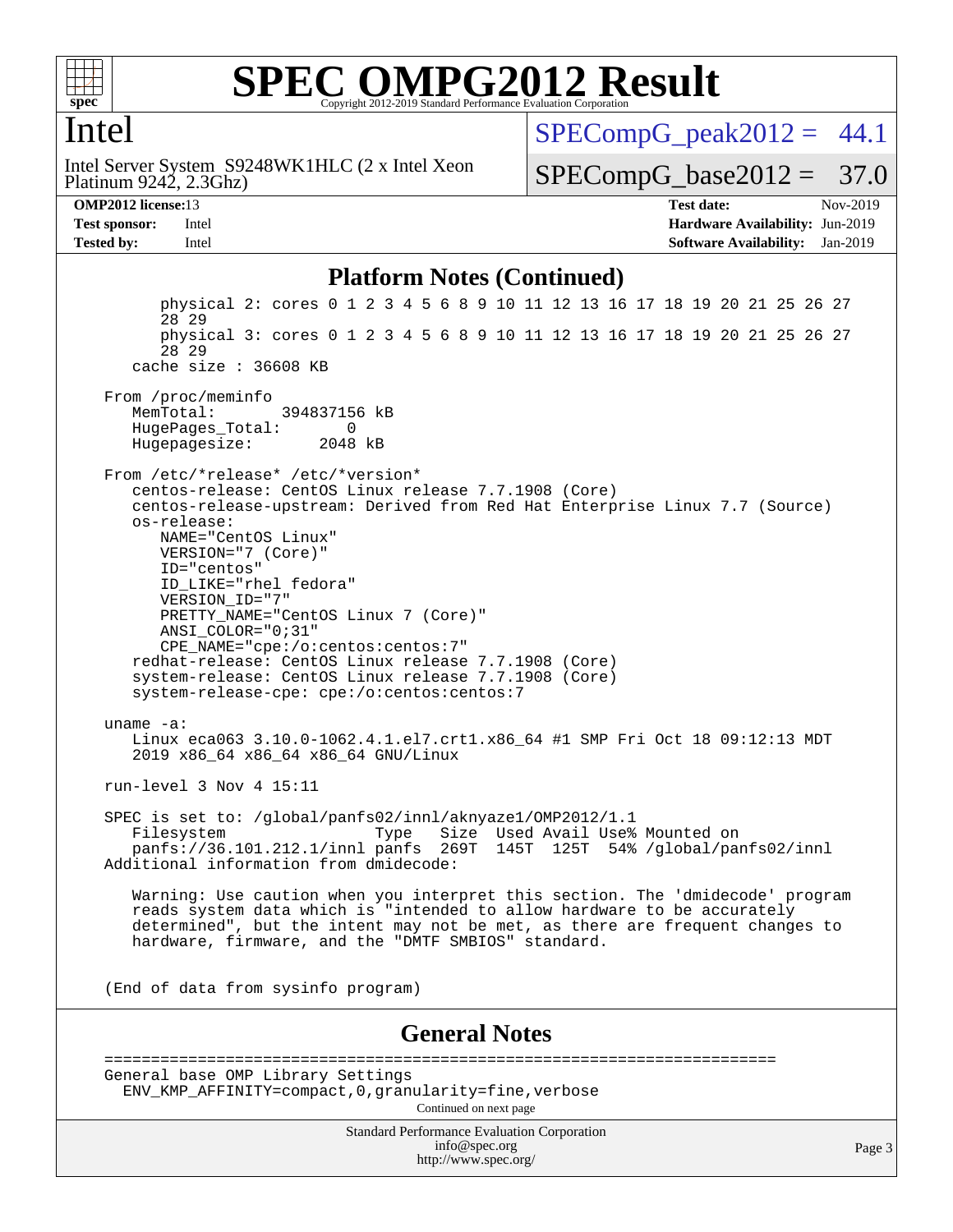

#### Intel

Platinum 9242, 2.3Ghz) Intel Server System S9248WK1HLC (2 x Intel Xeon  $SPECompG_peak2012 = 44.1$  $SPECompG_peak2012 = 44.1$ 

 $SPECompG_base2012 = 37.0$  $SPECompG_base2012 = 37.0$ 

**[OMP2012 license:](http://www.spec.org/auto/omp2012/Docs/result-fields.html#OMP2012license)**13 **[Test date:](http://www.spec.org/auto/omp2012/Docs/result-fields.html#Testdate)** Nov-2019 **[Test sponsor:](http://www.spec.org/auto/omp2012/Docs/result-fields.html#Testsponsor)** Intel **[Hardware Availability:](http://www.spec.org/auto/omp2012/Docs/result-fields.html#HardwareAvailability)** Jun-2019 **[Tested by:](http://www.spec.org/auto/omp2012/Docs/result-fields.html#Testedby)** Intel **[Software Availability:](http://www.spec.org/auto/omp2012/Docs/result-fields.html#SoftwareAvailability)** Jan-2019

#### **[Platform Notes \(Continued\)](http://www.spec.org/auto/omp2012/Docs/result-fields.html#PlatformNotes)**

Standard Performance Evaluation Corporation [info@spec.org](mailto:info@spec.org) <http://www.spec.org/> Page 3 physical 2: cores 0 1 2 3 4 5 6 8 9 10 11 12 13 16 17 18 19 20 21 25 26 27 28 29 physical 3: cores 0 1 2 3 4 5 6 8 9 10 11 12 13 16 17 18 19 20 21 25 26 27 28 29 cache size : 36608 KB From /proc/meminfo MemTotal: 394837156 kB HugePages\_Total: 0<br>Hugepagesize: 2048 kB Hugepagesize: From /etc/\*release\* /etc/\*version\* centos-release: CentOS Linux release 7.7.1908 (Core) centos-release-upstream: Derived from Red Hat Enterprise Linux 7.7 (Source) os-release: NAME="CentOS Linux" VERSION="7 (Core)" ID="centos" ID\_LIKE="rhel fedora" VERSION\_ID="7" PRETTY\_NAME="CentOS Linux 7 (Core)" ANSI\_COLOR="0;31" CPE\_NAME="cpe:/o:centos:centos:7" redhat-release: CentOS Linux release 7.7.1908 (Core) system-release: CentOS Linux release 7.7.1908 (Core) system-release-cpe: cpe:/o:centos:centos:7 uname -a: Linux eca063 3.10.0-1062.4.1.el7.crt1.x86 64 #1 SMP Fri Oct 18 09:12:13 MDT 2019 x86\_64 x86\_64 x86\_64 GNU/Linux run-level 3 Nov 4 15:11 SPEC is set to: /global/panfs02/innl/aknyaze1/OMP2012/1.1 Filesystem Type Size Used Avail Use% Mounted on panfs://36.101.212.1/innl panfs 269T 145T 125T 54% /global/panfs02/innl Additional information from dmidecode: Warning: Use caution when you interpret this section. The 'dmidecode' program reads system data which is "intended to allow hardware to be accurately determined", but the intent may not be met, as there are frequent changes to hardware, firmware, and the "DMTF SMBIOS" standard. (End of data from sysinfo program) **[General Notes](http://www.spec.org/auto/omp2012/Docs/result-fields.html#GeneralNotes)** ======================================================================== General base OMP Library Settings ENV\_KMP\_AFFINITY=compact,0,granularity=fine,verbose Continued on next page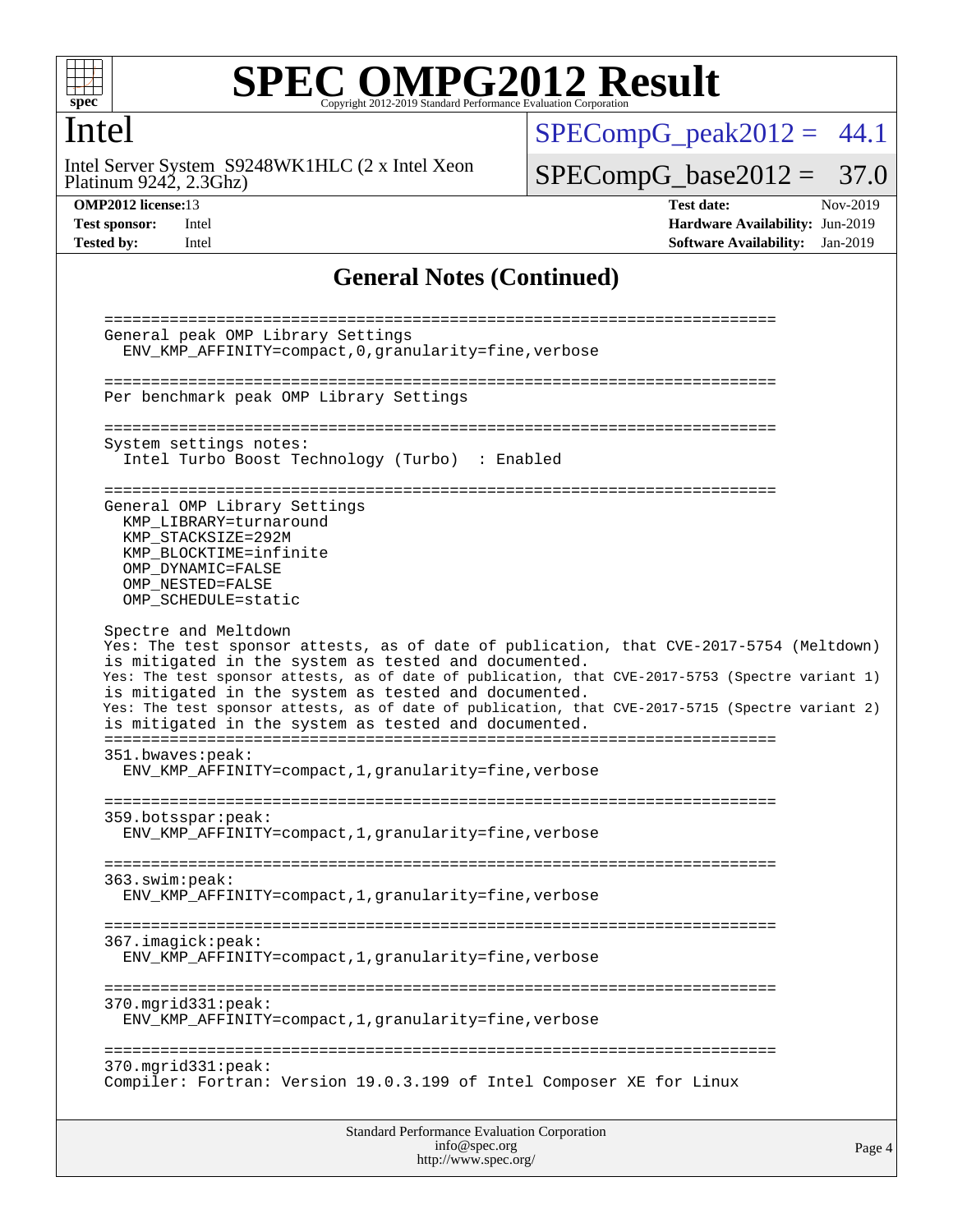

#### Intel

Platinum 9242, 2.3Ghz) Intel Server System S9248WK1HLC (2 x Intel Xeon  $SPECompG_peak2012 = 44.1$  $SPECompG_peak2012 = 44.1$ 

 $SPECompG_base2012 = 37.0$  $SPECompG_base2012 = 37.0$ 

**[OMP2012 license:](http://www.spec.org/auto/omp2012/Docs/result-fields.html#OMP2012license)**13 **[Test date:](http://www.spec.org/auto/omp2012/Docs/result-fields.html#Testdate)** Nov-2019 **[Test sponsor:](http://www.spec.org/auto/omp2012/Docs/result-fields.html#Testsponsor)** Intel **[Hardware Availability:](http://www.spec.org/auto/omp2012/Docs/result-fields.html#HardwareAvailability)** Jun-2019 **[Tested by:](http://www.spec.org/auto/omp2012/Docs/result-fields.html#Testedby)** Intel **[Software Availability:](http://www.spec.org/auto/omp2012/Docs/result-fields.html#SoftwareAvailability)** Jan-2019

#### **[General Notes \(Continued\)](http://www.spec.org/auto/omp2012/Docs/result-fields.html#GeneralNotes)**

| Standard Performance Evaluation Corporation<br>info@spec.org<br>Page 4<br>http://www.spec.org/                                                                                                                                                      |  |
|-----------------------------------------------------------------------------------------------------------------------------------------------------------------------------------------------------------------------------------------------------|--|
| 370.mgrid331:peak:<br>Compiler: Fortran: Version 19.0.3.199 of Intel Composer XE for Linux                                                                                                                                                          |  |
| 370.mgrid331:peak:<br>ENV_KMP_AFFINITY=compact, 1, granularity=fine, verbose                                                                                                                                                                        |  |
| 367.imagick:peak:<br>ENV_KMP_AFFINITY=compact,1,granularity=fine,verbose                                                                                                                                                                            |  |
| 363.swim:peak:<br>ENV_KMP_AFFINITY=compact, 1, granularity=fine, verbose                                                                                                                                                                            |  |
| 359.botsspar: peak:<br>ENV_KMP_AFFINITY=compact, 1, granularity=fine, verbose                                                                                                                                                                       |  |
| 351.bwaves:peak:<br>ENV_KMP_AFFINITY=compact, 1, granularity=fine, verbose                                                                                                                                                                          |  |
| is mitigated in the system as tested and documented.<br>Yes: The test sponsor attests, as of date of publication, that CVE-2017-5715 (Spectre variant 2)<br>is mitigated in the system as tested and documented.                                    |  |
| Yes: The test sponsor attests, as of date of publication, that CVE-2017-5754 (Meltdown)<br>is mitigated in the system as tested and documented.<br>Yes: The test sponsor attests, as of date of publication, that CVE-2017-5753 (Spectre variant 1) |  |
| KMP BLOCKTIME=infinite<br>OMP DYNAMIC=FALSE<br>OMP NESTED=FALSE<br>OMP_SCHEDULE=static<br>Spectre and Meltdown                                                                                                                                      |  |
| General OMP Library Settings<br>KMP LIBRARY=turnaround<br>KMP_STACKSIZE=292M                                                                                                                                                                        |  |
| System settings notes:<br>Intel Turbo Boost Technology (Turbo) : Enabled                                                                                                                                                                            |  |
| Per benchmark peak OMP Library Settings                                                                                                                                                                                                             |  |
| General peak OMP Library Settings<br>ENV_KMP_AFFINITY=compact, 0, granularity=fine, verbose                                                                                                                                                         |  |
|                                                                                                                                                                                                                                                     |  |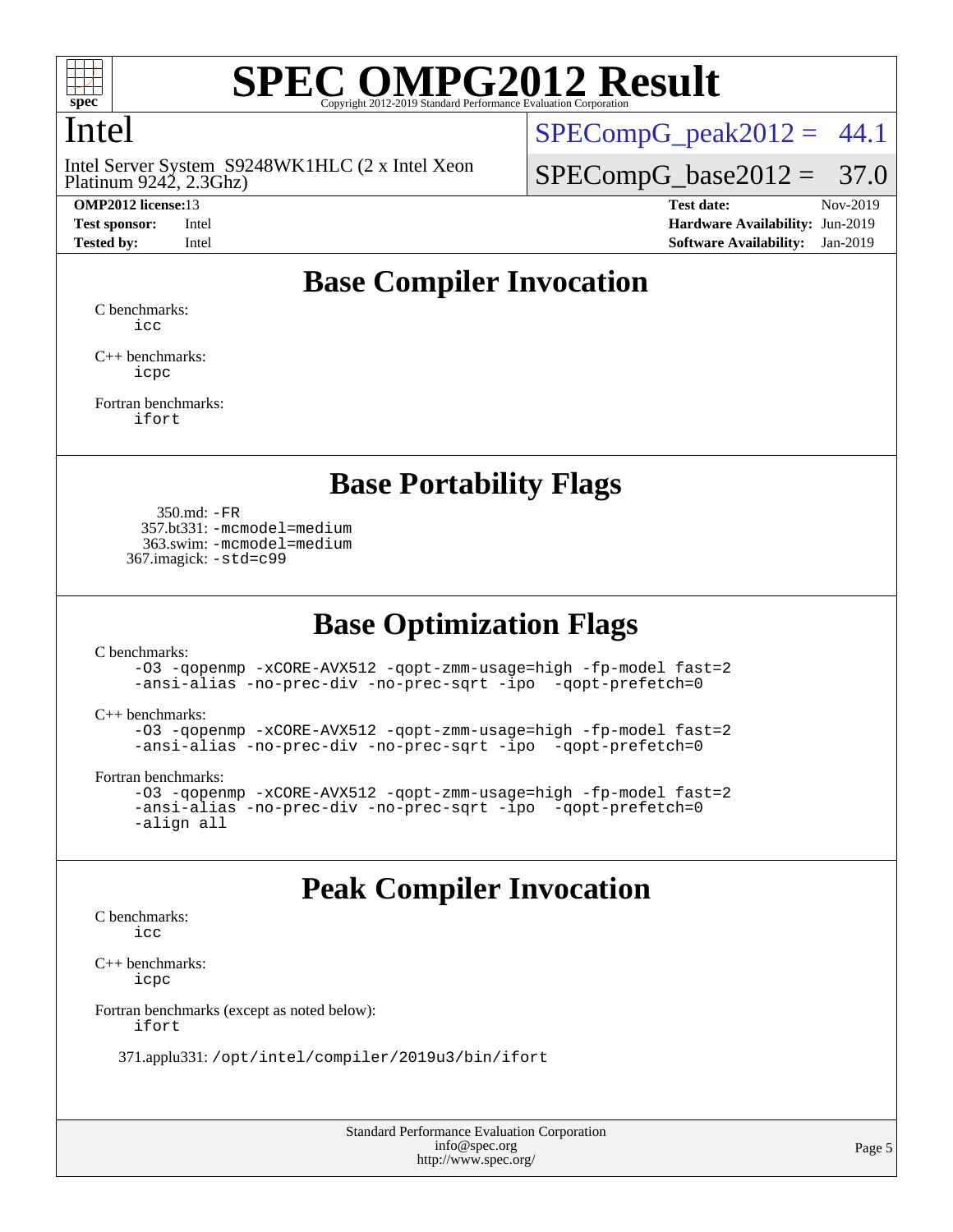

## Intel

Platinum 9242, 2.3Ghz) Intel Server System S9248WK1HLC (2 x Intel Xeon

 $SPECompG<sub>peak2012</sub> = 44.1$ 

 $SPECompG_base2012 = 37.0$  $SPECompG_base2012 = 37.0$ 

**[OMP2012 license:](http://www.spec.org/auto/omp2012/Docs/result-fields.html#OMP2012license)**13 **[Test date:](http://www.spec.org/auto/omp2012/Docs/result-fields.html#Testdate)** Nov-2019 **[Test sponsor:](http://www.spec.org/auto/omp2012/Docs/result-fields.html#Testsponsor)** Intel **[Hardware Availability:](http://www.spec.org/auto/omp2012/Docs/result-fields.html#HardwareAvailability)** Jun-2019 **[Tested by:](http://www.spec.org/auto/omp2012/Docs/result-fields.html#Testedby)** Intel **[Software Availability:](http://www.spec.org/auto/omp2012/Docs/result-fields.html#SoftwareAvailability)** Jan-2019

## **[Base Compiler Invocation](http://www.spec.org/auto/omp2012/Docs/result-fields.html#BaseCompilerInvocation)**

[C benchmarks](http://www.spec.org/auto/omp2012/Docs/result-fields.html#Cbenchmarks): [icc](http://www.spec.org/omp2012/results/res2019q4/omp2012-20191203-00189.flags.html#user_CCbase_intel_icc_a87c68a857bc5ec5362391a49d3a37a6)

[C++ benchmarks:](http://www.spec.org/auto/omp2012/Docs/result-fields.html#CXXbenchmarks) [icpc](http://www.spec.org/omp2012/results/res2019q4/omp2012-20191203-00189.flags.html#user_CXXbase_intel_icpc_2d899f8d163502b12eb4a60069f80c1c)

[Fortran benchmarks](http://www.spec.org/auto/omp2012/Docs/result-fields.html#Fortranbenchmarks): [ifort](http://www.spec.org/omp2012/results/res2019q4/omp2012-20191203-00189.flags.html#user_FCbase_intel_ifort_8a5e5e06b19a251bdeaf8fdab5d62f20)

#### **[Base Portability Flags](http://www.spec.org/auto/omp2012/Docs/result-fields.html#BasePortabilityFlags)**

 350.md: [-FR](http://www.spec.org/omp2012/results/res2019q4/omp2012-20191203-00189.flags.html#user_baseFPORTABILITY350_md_f-FR) 357.bt331: [-mcmodel=medium](http://www.spec.org/omp2012/results/res2019q4/omp2012-20191203-00189.flags.html#user_basePORTABILITY357_bt331_f-mcmodel_3a41622424bdd074c4f0f2d2f224c7e5) 363.swim: [-mcmodel=medium](http://www.spec.org/omp2012/results/res2019q4/omp2012-20191203-00189.flags.html#user_basePORTABILITY363_swim_f-mcmodel_3a41622424bdd074c4f0f2d2f224c7e5) 367.imagick: [-std=c99](http://www.spec.org/omp2012/results/res2019q4/omp2012-20191203-00189.flags.html#user_baseCPORTABILITY367_imagick_f-std_2ec6533b6e06f1c4a6c9b78d9e9cde24)

### **[Base Optimization Flags](http://www.spec.org/auto/omp2012/Docs/result-fields.html#BaseOptimizationFlags)**

[C benchmarks](http://www.spec.org/auto/omp2012/Docs/result-fields.html#Cbenchmarks):

[-O3](http://www.spec.org/omp2012/results/res2019q4/omp2012-20191203-00189.flags.html#user_CCbase_f-O3) [-qopenmp](http://www.spec.org/omp2012/results/res2019q4/omp2012-20191203-00189.flags.html#user_CCbase_f-qopenmp) [-xCORE-AVX512](http://www.spec.org/omp2012/results/res2019q4/omp2012-20191203-00189.flags.html#user_CCbase_f-xCORE-AVX512) [-qopt-zmm-usage=high](http://www.spec.org/omp2012/results/res2019q4/omp2012-20191203-00189.flags.html#user_CCbase_f-qopt-zmm-usage_213d857421e75f2db2f896f7900465fb) [-fp-model fast=2](http://www.spec.org/omp2012/results/res2019q4/omp2012-20191203-00189.flags.html#user_CCbase_f-fp-model_a7fb8ccb7275e23f0079632c153cfcab) [-ansi-alias](http://www.spec.org/omp2012/results/res2019q4/omp2012-20191203-00189.flags.html#user_CCbase_f-ansi-alias) [-no-prec-div](http://www.spec.org/omp2012/results/res2019q4/omp2012-20191203-00189.flags.html#user_CCbase_f-no-prec-div) [-no-prec-sqrt](http://www.spec.org/omp2012/results/res2019q4/omp2012-20191203-00189.flags.html#user_CCbase_f-no-prec-sqrt) [-ipo](http://www.spec.org/omp2012/results/res2019q4/omp2012-20191203-00189.flags.html#user_CCbase_f-ipo_84062ab53814f613187d02344b8f49a7) [-qopt-prefetch=0](http://www.spec.org/omp2012/results/res2019q4/omp2012-20191203-00189.flags.html#user_CCbase_f-qopt-prefetch_ce172c705aa924d14c76f32fff3f4886)

[C++ benchmarks:](http://www.spec.org/auto/omp2012/Docs/result-fields.html#CXXbenchmarks)

```
-O3 -qopenmp -xCORE-AVX512 -qopt-zmm-usage=high -fp-model fast=2
-ansi-alias -no-prec-div -no-prec-sqrt -ipo -qopt-prefetch=0
```
[Fortran benchmarks](http://www.spec.org/auto/omp2012/Docs/result-fields.html#Fortranbenchmarks):

```
-O3 -qopenmp -xCORE-AVX512 -qopt-zmm-usage=high -fp-model fast=2
-ansi-alias -no-prec-div -no-prec-sqrt -ipo -qopt-prefetch=0
-align all
```
### **[Peak Compiler Invocation](http://www.spec.org/auto/omp2012/Docs/result-fields.html#PeakCompilerInvocation)**

[C benchmarks](http://www.spec.org/auto/omp2012/Docs/result-fields.html#Cbenchmarks): [icc](http://www.spec.org/omp2012/results/res2019q4/omp2012-20191203-00189.flags.html#user_CCpeak_intel_icc_a87c68a857bc5ec5362391a49d3a37a6)

[C++ benchmarks:](http://www.spec.org/auto/omp2012/Docs/result-fields.html#CXXbenchmarks) [icpc](http://www.spec.org/omp2012/results/res2019q4/omp2012-20191203-00189.flags.html#user_CXXpeak_intel_icpc_2d899f8d163502b12eb4a60069f80c1c)

[Fortran benchmarks \(except as noted below\)](http://www.spec.org/auto/omp2012/Docs/result-fields.html#Fortranbenchmarksexceptasnotedbelow):

[ifort](http://www.spec.org/omp2012/results/res2019q4/omp2012-20191203-00189.flags.html#user_FCpeak_intel_ifort_8a5e5e06b19a251bdeaf8fdab5d62f20)

371.applu331: [/opt/intel/compiler/2019u3/bin/ifort](http://www.spec.org/omp2012/results/res2019q4/omp2012-20191203-00189.flags.html#user_peakFCLD371_applu331_intel_ifort_127b420565c1394e637c1e89ff0e5a0e)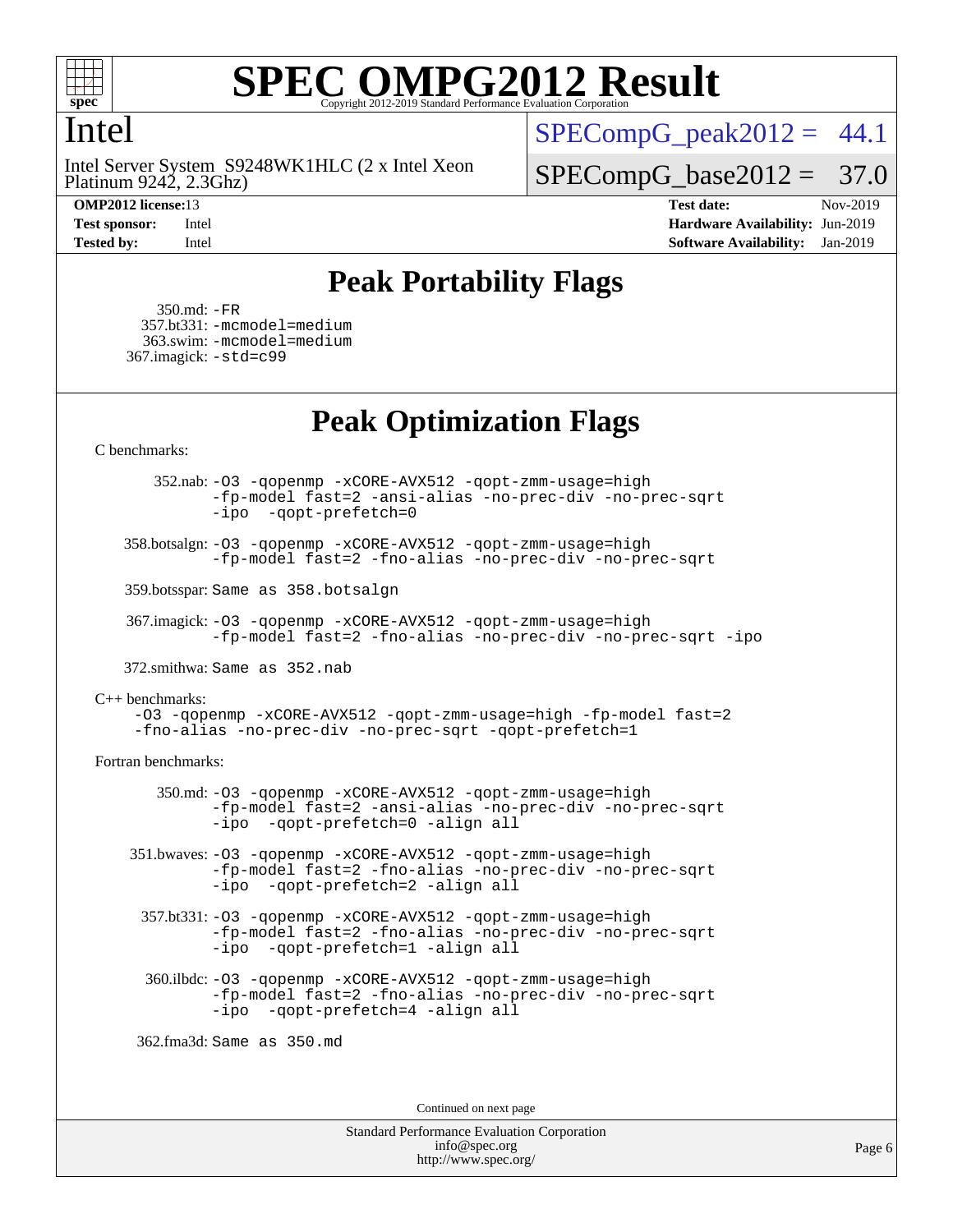

#### Intel

Platinum 9242, 2.3Ghz) Intel Server System S9248WK1HLC (2 x Intel Xeon

 $SPECompG<sub>peak2012</sub> = 44.1$ 

 $SPECompG_base2012 = 37.0$  $SPECompG_base2012 = 37.0$ 

**[OMP2012 license:](http://www.spec.org/auto/omp2012/Docs/result-fields.html#OMP2012license)**13 **[Test date:](http://www.spec.org/auto/omp2012/Docs/result-fields.html#Testdate)** Nov-2019 **[Test sponsor:](http://www.spec.org/auto/omp2012/Docs/result-fields.html#Testsponsor)** Intel **[Hardware Availability:](http://www.spec.org/auto/omp2012/Docs/result-fields.html#HardwareAvailability)** Jun-2019 **[Tested by:](http://www.spec.org/auto/omp2012/Docs/result-fields.html#Testedby)** Intel **[Software Availability:](http://www.spec.org/auto/omp2012/Docs/result-fields.html#SoftwareAvailability)** Jan-2019

## **[Peak Portability Flags](http://www.spec.org/auto/omp2012/Docs/result-fields.html#PeakPortabilityFlags)**

 350.md: [-FR](http://www.spec.org/omp2012/results/res2019q4/omp2012-20191203-00189.flags.html#user_peakFPORTABILITY350_md_f-FR) 357.bt331: [-mcmodel=medium](http://www.spec.org/omp2012/results/res2019q4/omp2012-20191203-00189.flags.html#user_peakPORTABILITY357_bt331_f-mcmodel_3a41622424bdd074c4f0f2d2f224c7e5) 363.swim: [-mcmodel=medium](http://www.spec.org/omp2012/results/res2019q4/omp2012-20191203-00189.flags.html#user_peakPORTABILITY363_swim_f-mcmodel_3a41622424bdd074c4f0f2d2f224c7e5) 367.imagick: [-std=c99](http://www.spec.org/omp2012/results/res2019q4/omp2012-20191203-00189.flags.html#user_peakCPORTABILITY367_imagick_f-std_2ec6533b6e06f1c4a6c9b78d9e9cde24)

### **[Peak Optimization Flags](http://www.spec.org/auto/omp2012/Docs/result-fields.html#PeakOptimizationFlags)**

[C benchmarks](http://www.spec.org/auto/omp2012/Docs/result-fields.html#Cbenchmarks):

 352.nab: [-O3](http://www.spec.org/omp2012/results/res2019q4/omp2012-20191203-00189.flags.html#user_peakOPTIMIZE352_nab_f-O3) [-qopenmp](http://www.spec.org/omp2012/results/res2019q4/omp2012-20191203-00189.flags.html#user_peakOPTIMIZE352_nab_f-qopenmp) [-xCORE-AVX512](http://www.spec.org/omp2012/results/res2019q4/omp2012-20191203-00189.flags.html#user_peakOPTIMIZE352_nab_f-xCORE-AVX512) [-qopt-zmm-usage=high](http://www.spec.org/omp2012/results/res2019q4/omp2012-20191203-00189.flags.html#user_peakOPTIMIZE352_nab_f-qopt-zmm-usage_213d857421e75f2db2f896f7900465fb) [-fp-model fast=2](http://www.spec.org/omp2012/results/res2019q4/omp2012-20191203-00189.flags.html#user_peakOPTIMIZE352_nab_f-fp-model_a7fb8ccb7275e23f0079632c153cfcab) [-ansi-alias](http://www.spec.org/omp2012/results/res2019q4/omp2012-20191203-00189.flags.html#user_peakOPTIMIZE352_nab_f-ansi-alias) [-no-prec-div](http://www.spec.org/omp2012/results/res2019q4/omp2012-20191203-00189.flags.html#user_peakOPTIMIZE352_nab_f-no-prec-div) [-no-prec-sqrt](http://www.spec.org/omp2012/results/res2019q4/omp2012-20191203-00189.flags.html#user_peakOPTIMIZE352_nab_f-no-prec-sqrt) [-ipo](http://www.spec.org/omp2012/results/res2019q4/omp2012-20191203-00189.flags.html#user_peakOPTIMIZE352_nab_f-ipo_84062ab53814f613187d02344b8f49a7) [-qopt-prefetch=0](http://www.spec.org/omp2012/results/res2019q4/omp2012-20191203-00189.flags.html#user_peakOPTIMIZE352_nab_f-qopt-prefetch_ce172c705aa924d14c76f32fff3f4886)

 358.botsalgn: [-O3](http://www.spec.org/omp2012/results/res2019q4/omp2012-20191203-00189.flags.html#user_peakOPTIMIZE358_botsalgn_f-O3) [-qopenmp](http://www.spec.org/omp2012/results/res2019q4/omp2012-20191203-00189.flags.html#user_peakOPTIMIZE358_botsalgn_f-qopenmp) [-xCORE-AVX512](http://www.spec.org/omp2012/results/res2019q4/omp2012-20191203-00189.flags.html#user_peakOPTIMIZE358_botsalgn_f-xCORE-AVX512) [-qopt-zmm-usage=high](http://www.spec.org/omp2012/results/res2019q4/omp2012-20191203-00189.flags.html#user_peakOPTIMIZE358_botsalgn_f-qopt-zmm-usage_213d857421e75f2db2f896f7900465fb) [-fp-model fast=2](http://www.spec.org/omp2012/results/res2019q4/omp2012-20191203-00189.flags.html#user_peakOPTIMIZE358_botsalgn_f-fp-model_a7fb8ccb7275e23f0079632c153cfcab) [-fno-alias](http://www.spec.org/omp2012/results/res2019q4/omp2012-20191203-00189.flags.html#user_peakOPTIMIZE358_botsalgn_f-no-alias_694e77f6c5a51e658e82ccff53a9e63a) [-no-prec-div](http://www.spec.org/omp2012/results/res2019q4/omp2012-20191203-00189.flags.html#user_peakOPTIMIZE358_botsalgn_f-no-prec-div) [-no-prec-sqrt](http://www.spec.org/omp2012/results/res2019q4/omp2012-20191203-00189.flags.html#user_peakOPTIMIZE358_botsalgn_f-no-prec-sqrt)

359.botsspar: Same as 358.botsalgn

 367.imagick: [-O3](http://www.spec.org/omp2012/results/res2019q4/omp2012-20191203-00189.flags.html#user_peakOPTIMIZE367_imagick_f-O3) [-qopenmp](http://www.spec.org/omp2012/results/res2019q4/omp2012-20191203-00189.flags.html#user_peakOPTIMIZE367_imagick_f-qopenmp) [-xCORE-AVX512](http://www.spec.org/omp2012/results/res2019q4/omp2012-20191203-00189.flags.html#user_peakOPTIMIZE367_imagick_f-xCORE-AVX512) [-qopt-zmm-usage=high](http://www.spec.org/omp2012/results/res2019q4/omp2012-20191203-00189.flags.html#user_peakOPTIMIZE367_imagick_f-qopt-zmm-usage_213d857421e75f2db2f896f7900465fb) [-fp-model fast=2](http://www.spec.org/omp2012/results/res2019q4/omp2012-20191203-00189.flags.html#user_peakOPTIMIZE367_imagick_f-fp-model_a7fb8ccb7275e23f0079632c153cfcab) [-fno-alias](http://www.spec.org/omp2012/results/res2019q4/omp2012-20191203-00189.flags.html#user_peakOPTIMIZE367_imagick_f-no-alias_694e77f6c5a51e658e82ccff53a9e63a) [-no-prec-div](http://www.spec.org/omp2012/results/res2019q4/omp2012-20191203-00189.flags.html#user_peakOPTIMIZE367_imagick_f-no-prec-div) [-no-prec-sqrt](http://www.spec.org/omp2012/results/res2019q4/omp2012-20191203-00189.flags.html#user_peakOPTIMIZE367_imagick_f-no-prec-sqrt) [-ipo](http://www.spec.org/omp2012/results/res2019q4/omp2012-20191203-00189.flags.html#user_peakOPTIMIZE367_imagick_f-ipo)

372.smithwa: Same as 352.nab

[C++ benchmarks:](http://www.spec.org/auto/omp2012/Docs/result-fields.html#CXXbenchmarks)

[-O3](http://www.spec.org/omp2012/results/res2019q4/omp2012-20191203-00189.flags.html#user_CXXpeak_f-O3) [-qopenmp](http://www.spec.org/omp2012/results/res2019q4/omp2012-20191203-00189.flags.html#user_CXXpeak_f-qopenmp) [-xCORE-AVX512](http://www.spec.org/omp2012/results/res2019q4/omp2012-20191203-00189.flags.html#user_CXXpeak_f-xCORE-AVX512) [-qopt-zmm-usage=high](http://www.spec.org/omp2012/results/res2019q4/omp2012-20191203-00189.flags.html#user_CXXpeak_f-qopt-zmm-usage_213d857421e75f2db2f896f7900465fb) [-fp-model fast=2](http://www.spec.org/omp2012/results/res2019q4/omp2012-20191203-00189.flags.html#user_CXXpeak_f-fp-model_a7fb8ccb7275e23f0079632c153cfcab) [-fno-alias](http://www.spec.org/omp2012/results/res2019q4/omp2012-20191203-00189.flags.html#user_CXXpeak_f-no-alias_694e77f6c5a51e658e82ccff53a9e63a) [-no-prec-div](http://www.spec.org/omp2012/results/res2019q4/omp2012-20191203-00189.flags.html#user_CXXpeak_f-no-prec-div) [-no-prec-sqrt](http://www.spec.org/omp2012/results/res2019q4/omp2012-20191203-00189.flags.html#user_CXXpeak_f-no-prec-sqrt) [-qopt-prefetch=1](http://www.spec.org/omp2012/results/res2019q4/omp2012-20191203-00189.flags.html#user_CXXpeak_f-qopt-prefetch_9097ad9b78e4401c727c33237ff25d7e)

[Fortran benchmarks](http://www.spec.org/auto/omp2012/Docs/result-fields.html#Fortranbenchmarks):

 350.md: [-O3](http://www.spec.org/omp2012/results/res2019q4/omp2012-20191203-00189.flags.html#user_peakOPTIMIZE350_md_f-O3) [-qopenmp](http://www.spec.org/omp2012/results/res2019q4/omp2012-20191203-00189.flags.html#user_peakOPTIMIZE350_md_f-qopenmp) [-xCORE-AVX512](http://www.spec.org/omp2012/results/res2019q4/omp2012-20191203-00189.flags.html#user_peakOPTIMIZE350_md_f-xCORE-AVX512) [-qopt-zmm-usage=high](http://www.spec.org/omp2012/results/res2019q4/omp2012-20191203-00189.flags.html#user_peakOPTIMIZE350_md_f-qopt-zmm-usage_213d857421e75f2db2f896f7900465fb) [-fp-model fast=2](http://www.spec.org/omp2012/results/res2019q4/omp2012-20191203-00189.flags.html#user_peakOPTIMIZE350_md_f-fp-model_a7fb8ccb7275e23f0079632c153cfcab) [-ansi-alias](http://www.spec.org/omp2012/results/res2019q4/omp2012-20191203-00189.flags.html#user_peakOPTIMIZE350_md_f-ansi-alias) [-no-prec-div](http://www.spec.org/omp2012/results/res2019q4/omp2012-20191203-00189.flags.html#user_peakOPTIMIZE350_md_f-no-prec-div) [-no-prec-sqrt](http://www.spec.org/omp2012/results/res2019q4/omp2012-20191203-00189.flags.html#user_peakOPTIMIZE350_md_f-no-prec-sqrt) [-ipo](http://www.spec.org/omp2012/results/res2019q4/omp2012-20191203-00189.flags.html#user_peakOPTIMIZE350_md_f-ipo_84062ab53814f613187d02344b8f49a7) [-qopt-prefetch=0](http://www.spec.org/omp2012/results/res2019q4/omp2012-20191203-00189.flags.html#user_peakOPTIMIZE350_md_f-qopt-prefetch_ce172c705aa924d14c76f32fff3f4886) [-align all](http://www.spec.org/omp2012/results/res2019q4/omp2012-20191203-00189.flags.html#user_peakFOPTIMIZE350_md_f-align_1ebfa66158b49aff21b037afc4046011)

 351.bwaves: [-O3](http://www.spec.org/omp2012/results/res2019q4/omp2012-20191203-00189.flags.html#user_peakOPTIMIZE351_bwaves_f-O3) [-qopenmp](http://www.spec.org/omp2012/results/res2019q4/omp2012-20191203-00189.flags.html#user_peakOPTIMIZE351_bwaves_f-qopenmp) [-xCORE-AVX512](http://www.spec.org/omp2012/results/res2019q4/omp2012-20191203-00189.flags.html#user_peakOPTIMIZE351_bwaves_f-xCORE-AVX512) [-qopt-zmm-usage=high](http://www.spec.org/omp2012/results/res2019q4/omp2012-20191203-00189.flags.html#user_peakOPTIMIZE351_bwaves_f-qopt-zmm-usage_213d857421e75f2db2f896f7900465fb) [-fp-model fast=2](http://www.spec.org/omp2012/results/res2019q4/omp2012-20191203-00189.flags.html#user_peakOPTIMIZE351_bwaves_f-fp-model_a7fb8ccb7275e23f0079632c153cfcab) [-fno-alias](http://www.spec.org/omp2012/results/res2019q4/omp2012-20191203-00189.flags.html#user_peakOPTIMIZE351_bwaves_f-no-alias_694e77f6c5a51e658e82ccff53a9e63a) [-no-prec-div](http://www.spec.org/omp2012/results/res2019q4/omp2012-20191203-00189.flags.html#user_peakOPTIMIZE351_bwaves_f-no-prec-div) [-no-prec-sqrt](http://www.spec.org/omp2012/results/res2019q4/omp2012-20191203-00189.flags.html#user_peakOPTIMIZE351_bwaves_f-no-prec-sqrt) [-ipo](http://www.spec.org/omp2012/results/res2019q4/omp2012-20191203-00189.flags.html#user_peakOPTIMIZE351_bwaves_f-ipo_84062ab53814f613187d02344b8f49a7) [-qopt-prefetch=2](http://www.spec.org/omp2012/results/res2019q4/omp2012-20191203-00189.flags.html#user_peakOPTIMIZE351_bwaves_f-qopt-prefetch_5dd8eff5680869f15030b88dfb173050) [-align all](http://www.spec.org/omp2012/results/res2019q4/omp2012-20191203-00189.flags.html#user_peakFOPTIMIZE351_bwaves_f-align_1ebfa66158b49aff21b037afc4046011)

 357.bt331: [-O3](http://www.spec.org/omp2012/results/res2019q4/omp2012-20191203-00189.flags.html#user_peakOPTIMIZE357_bt331_f-O3) [-qopenmp](http://www.spec.org/omp2012/results/res2019q4/omp2012-20191203-00189.flags.html#user_peakOPTIMIZE357_bt331_f-qopenmp) [-xCORE-AVX512](http://www.spec.org/omp2012/results/res2019q4/omp2012-20191203-00189.flags.html#user_peakOPTIMIZE357_bt331_f-xCORE-AVX512) [-qopt-zmm-usage=high](http://www.spec.org/omp2012/results/res2019q4/omp2012-20191203-00189.flags.html#user_peakOPTIMIZE357_bt331_f-qopt-zmm-usage_213d857421e75f2db2f896f7900465fb) [-fp-model fast=2](http://www.spec.org/omp2012/results/res2019q4/omp2012-20191203-00189.flags.html#user_peakOPTIMIZE357_bt331_f-fp-model_a7fb8ccb7275e23f0079632c153cfcab) [-fno-alias](http://www.spec.org/omp2012/results/res2019q4/omp2012-20191203-00189.flags.html#user_peakOPTIMIZE357_bt331_f-no-alias_694e77f6c5a51e658e82ccff53a9e63a) [-no-prec-div](http://www.spec.org/omp2012/results/res2019q4/omp2012-20191203-00189.flags.html#user_peakOPTIMIZE357_bt331_f-no-prec-div) [-no-prec-sqrt](http://www.spec.org/omp2012/results/res2019q4/omp2012-20191203-00189.flags.html#user_peakOPTIMIZE357_bt331_f-no-prec-sqrt) [-ipo](http://www.spec.org/omp2012/results/res2019q4/omp2012-20191203-00189.flags.html#user_peakOPTIMIZE357_bt331_f-ipo_84062ab53814f613187d02344b8f49a7) [-qopt-prefetch=1](http://www.spec.org/omp2012/results/res2019q4/omp2012-20191203-00189.flags.html#user_peakOPTIMIZE357_bt331_f-qopt-prefetch_9097ad9b78e4401c727c33237ff25d7e) [-align all](http://www.spec.org/omp2012/results/res2019q4/omp2012-20191203-00189.flags.html#user_peakFOPTIMIZE357_bt331_f-align_1ebfa66158b49aff21b037afc4046011)

 360.ilbdc: [-O3](http://www.spec.org/omp2012/results/res2019q4/omp2012-20191203-00189.flags.html#user_peakOPTIMIZE360_ilbdc_f-O3) [-qopenmp](http://www.spec.org/omp2012/results/res2019q4/omp2012-20191203-00189.flags.html#user_peakOPTIMIZE360_ilbdc_f-qopenmp) [-xCORE-AVX512](http://www.spec.org/omp2012/results/res2019q4/omp2012-20191203-00189.flags.html#user_peakOPTIMIZE360_ilbdc_f-xCORE-AVX512) [-qopt-zmm-usage=high](http://www.spec.org/omp2012/results/res2019q4/omp2012-20191203-00189.flags.html#user_peakOPTIMIZE360_ilbdc_f-qopt-zmm-usage_213d857421e75f2db2f896f7900465fb) [-fp-model fast=2](http://www.spec.org/omp2012/results/res2019q4/omp2012-20191203-00189.flags.html#user_peakOPTIMIZE360_ilbdc_f-fp-model_a7fb8ccb7275e23f0079632c153cfcab) [-fno-alias](http://www.spec.org/omp2012/results/res2019q4/omp2012-20191203-00189.flags.html#user_peakOPTIMIZE360_ilbdc_f-no-alias_694e77f6c5a51e658e82ccff53a9e63a) [-no-prec-div](http://www.spec.org/omp2012/results/res2019q4/omp2012-20191203-00189.flags.html#user_peakOPTIMIZE360_ilbdc_f-no-prec-div) [-no-prec-sqrt](http://www.spec.org/omp2012/results/res2019q4/omp2012-20191203-00189.flags.html#user_peakOPTIMIZE360_ilbdc_f-no-prec-sqrt) [-ipo](http://www.spec.org/omp2012/results/res2019q4/omp2012-20191203-00189.flags.html#user_peakOPTIMIZE360_ilbdc_f-ipo_84062ab53814f613187d02344b8f49a7) [-qopt-prefetch=4](http://www.spec.org/omp2012/results/res2019q4/omp2012-20191203-00189.flags.html#user_peakOPTIMIZE360_ilbdc_f-qopt-prefetch_45f10e083f30a80e5aadab0211b1bca7) [-align all](http://www.spec.org/omp2012/results/res2019q4/omp2012-20191203-00189.flags.html#user_peakFOPTIMIZE360_ilbdc_f-align_1ebfa66158b49aff21b037afc4046011)

362.fma3d: Same as 350.md

Continued on next page